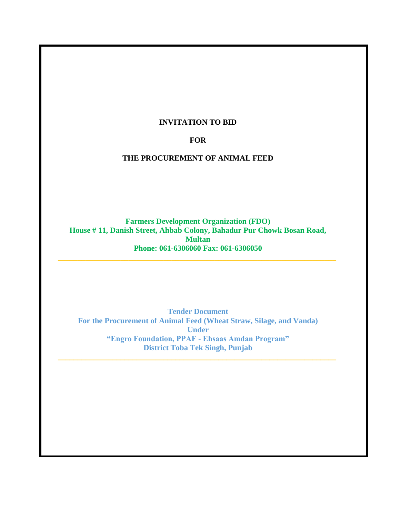## **INVITATION TO BID**

#### **FOR**

#### **THE PROCUREMENT OF ANIMAL FEED**

**Farmers Development Organization (FDO) House # 11, Danish Street, Ahbab Colony, Bahadur Pur Chowk Bosan Road, Multan Phone: 061-6306060 Fax: 061-6306050**

**Tender Document For the Procurement of Animal Feed (Wheat Straw, Silage, and Vanda) Under "Engro Foundation, PPAF - Ehsaas Amdan Program" District Toba Tek Singh, Punjab**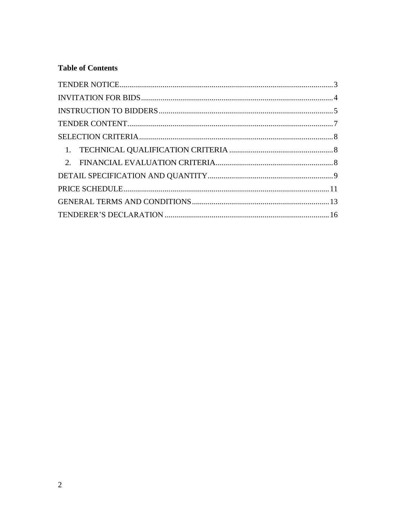## **Table of Contents**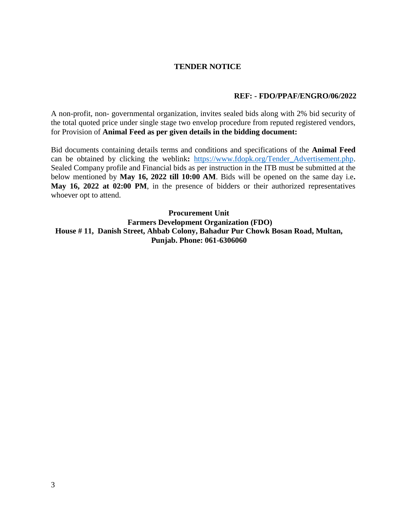## **TENDER NOTICE**

#### **REF: - FDO/PPAF/ENGRO/06/2022**

<span id="page-2-0"></span>A non-profit, non- governmental organization, invites sealed bids along with 2% bid security of the total quoted price under single stage two envelop procedure from reputed registered vendors, for Provision of **Animal Feed as per given details in the bidding document:**

Bid documents containing details terms and conditions and specifications of the **Animal Feed** can be obtained by clicking the weblink**:** [https://www.fdopk.org/Tender\\_Advertisement.php.](https://www.fdopk.org/Tender_Advertisement.php) Sealed Company profile and Financial bids as per instruction in the ITB must be submitted at the below mentioned by **May 16, 2022 till 10:00 AM**. Bids will be opened on the same day i.e**. May 16, 2022 at 02:00 PM**, in the presence of bidders or their authorized representatives whoever opt to attend.

**Procurement Unit Farmers Development Organization (FDO) House # 11, Danish Street, Ahbab Colony, Bahadur Pur Chowk Bosan Road, Multan, Punjab. Phone: 061-6306060**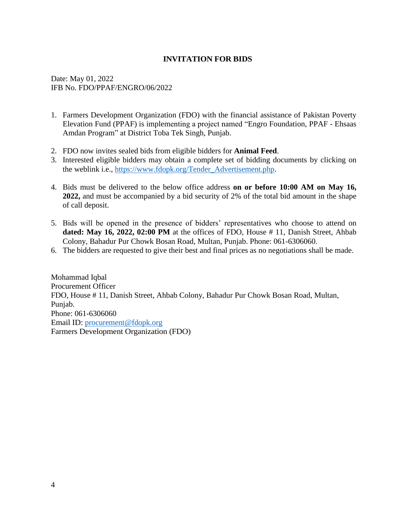## **INVITATION FOR BIDS**

<span id="page-3-0"></span>Date: May 01, 2022 IFB No. FDO/PPAF/ENGRO/06/2022

- 1. Farmers Development Organization (FDO) with the financial assistance of Pakistan Poverty Elevation Fund (PPAF) is implementing a project named "Engro Foundation, PPAF - Ehsaas Amdan Program" at District Toba Tek Singh, Punjab.
- 2. FDO now invites sealed bids from eligible bidders for **Animal Feed**.
- 3. Interested eligible bidders may obtain a complete set of bidding documents by clicking on the weblink i.e., [https://www.fdopk.org/Tender\\_Advertisement.php.](https://www.fdopk.org/Tender_Advertisement.php)
- 4. Bids must be delivered to the below office address **on or before 10:00 AM on May 16, 2022,** and must be accompanied by a bid security of 2% of the total bid amount in the shape of call deposit.
- 5. Bids will be opened in the presence of bidders' representatives who choose to attend on **dated: May 16, 2022, 02:00 PM** at the offices of FDO, House # 11, Danish Street, Ahbab Colony, Bahadur Pur Chowk Bosan Road, Multan, Punjab. Phone: 061-6306060.
- 6. The bidders are requested to give their best and final prices as no negotiations shall be made.

Mohammad Iqbal Procurement Officer FDO, House # 11, Danish Street, Ahbab Colony, Bahadur Pur Chowk Bosan Road, Multan, Punjab. Phone: 061-6306060 Email ID: [procurement@fdopk.org](mailto:procurement@fdopk.org) Farmers Development Organization (FDO)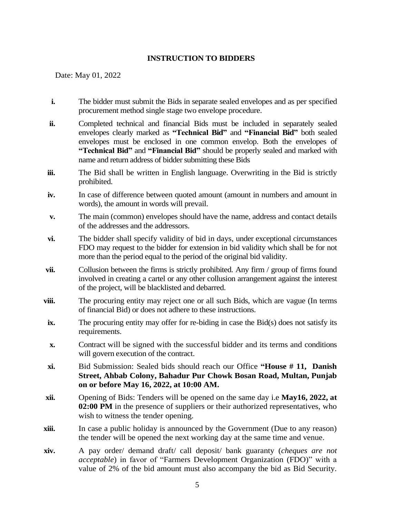## **INSTRUCTION TO BIDDERS**

<span id="page-4-0"></span>Date: May 01, 2022

- **i.** The bidder must submit the Bids in separate sealed envelopes and as per specified procurement method single stage two envelope procedure.
- **ii.** Completed technical and financial Bids must be included in separately sealed envelopes clearly marked as **"Technical Bid"** and **"Financial Bid"** both sealed envelopes must be enclosed in one common envelop. Both the envelopes of **"Technical Bid"** and **"Financial Bid"** should be properly sealed and marked with name and return address of bidder submitting these Bids
- **iii.** The Bid shall be written in English language. Overwriting in the Bid is strictly prohibited.
- **iv.** In case of difference between quoted amount (amount in numbers and amount in words), the amount in words will prevail.
- **v.** The main (common) envelopes should have the name, address and contact details of the addresses and the addressors.
- **vi.** The bidder shall specify validity of bid in days, under exceptional circumstances FDO may request to the bidder for extension in bid validity which shall be for not more than the period equal to the period of the original bid validity.
- **vii.** Collusion between the firms is strictly prohibited. Any firm / group of firms found involved in creating a cartel or any other collusion arrangement against the interest of the project, will be blacklisted and debarred.
- **viii.** The procuring entity may reject one or all such Bids, which are vague (In terms of financial Bid) or does not adhere to these instructions.
- **ix.** The procuring entity may offer for re-biding in case the Bid(s) does not satisfy its requirements.
- **x.** Contract will be signed with the successful bidder and its terms and conditions will govern execution of the contract.
- **xi.** Bid Submission: Sealed bids should reach our Office **"House # 11, Danish Street, Ahbab Colony, Bahadur Pur Chowk Bosan Road, Multan, Punjab on or before May 16, 2022, at 10:00 AM.**
- **xii.** Opening of Bids: Tenders will be opened on the same day i.e **May16, 2022, at 02:00 PM** in the presence of suppliers or their authorized representatives, who wish to witness the tender opening.
- **xiii.** In case a public holiday is announced by the Government (Due to any reason) the tender will be opened the next working day at the same time and venue.
- **xiv.** A pay order/ demand draft/ call deposit/ bank guaranty (*cheques are not acceptable*) in favor of "Farmers Development Organization (FDO)" with a value of 2% of the bid amount must also accompany the bid as Bid Security.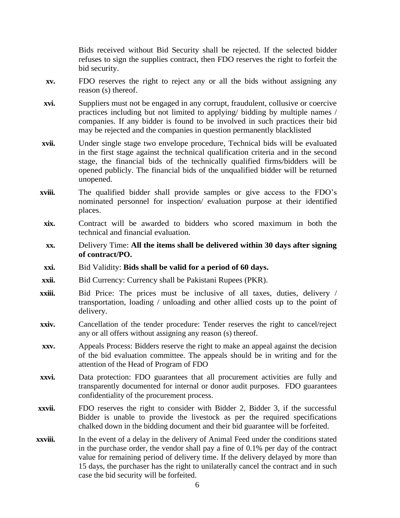Bids received without Bid Security shall be rejected. If the selected bidder refuses to sign the supplies contract, then FDO reserves the right to forfeit the bid security.

- **xv.** FDO reserves the right to reject any or all the bids without assigning any reason (s) thereof.
- **xvi.** Suppliers must not be engaged in any corrupt, fraudulent, collusive or coercive practices including but not limited to applying/ bidding by multiple names / companies. If any bidder is found to be involved in such practices their bid may be rejected and the companies in question permanently blacklisted
- **xvii.** Under single stage two envelope procedure, Technical bids will be evaluated in the first stage against the technical qualification criteria and in the second stage, the financial bids of the technically qualified firms/bidders will be opened publicly. The financial bids of the unqualified bidder will be returned unopened.
- **xviii.** The qualified bidder shall provide samples or give access to the FDO's nominated personnel for inspection/ evaluation purpose at their identified places.
- **xix.** Contract will be awarded to bidders who scored maximum in both the technical and financial evaluation.
- **xx.** Delivery Time: **All the items shall be delivered within 30 days after signing of contract/PO.**
- **xxi.** Bid Validity: **Bids shall be valid for a period of 60 days.**
- **xxii.** Bid Currency: Currency shall be Pakistani Rupees (PKR).
- **xxiii.** Bid Price: The prices must be inclusive of all taxes, duties, delivery / transportation, loading / unloading and other allied costs up to the point of delivery.
- **xxiv.** Cancellation of the tender procedure: Tender reserves the right to cancel/reject any or all offers without assigning any reason (s) thereof.
- **xxv.** Appeals Process: Bidders reserve the right to make an appeal against the decision of the bid evaluation committee. The appeals should be in writing and for the attention of the Head of Program of FDO
- **xxvi.** Data protection: FDO guarantees that all procurement activities are fully and transparently documented for internal or donor audit purposes. FDO guarantees confidentiality of the procurement process.
- **xxvii.** FDO reserves the right to consider with Bidder 2, Bidder 3, if the successful Bidder is unable to provide the livestock as per the required specifications chalked down in the bidding document and their bid guarantee will be forfeited.
- **xxviii.** In the event of a delay in the delivery of Animal Feed under the conditions stated in the purchase order, the vendor shall pay a fine of 0.1% per day of the contract value for remaining period of delivery time. If the delivery delayed by more than 15 days, the purchaser has the right to unilaterally cancel the contract and in such case the bid security will be forfeited.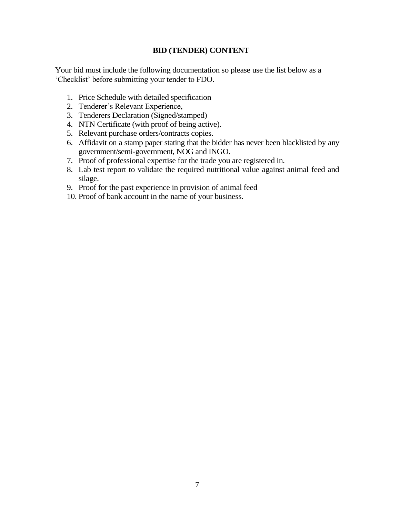## **BID (TENDER) CONTENT**

<span id="page-6-0"></span>Your bid must include the following documentation so please use the list below as a 'Checklist' before submitting your tender to FDO.

- 1. Price Schedule with detailed specification
- 2. Tenderer's Relevant Experience,
- 3. Tenderers Declaration (Signed/stamped)
- 4. NTN Certificate (with proof of being active).
- 5. Relevant purchase orders/contracts copies.
- 6. Affidavit on a stamp paper stating that the bidder has never been blacklisted by any government/semi-government, NOG and INGO.
- 7. Proof of professional expertise for the trade you are registered in.
- 8. Lab test report to validate the required nutritional value against animal feed and silage.
- 9. Proof for the past experience in provision of animal feed
- 10. Proof of bank account in the name of your business.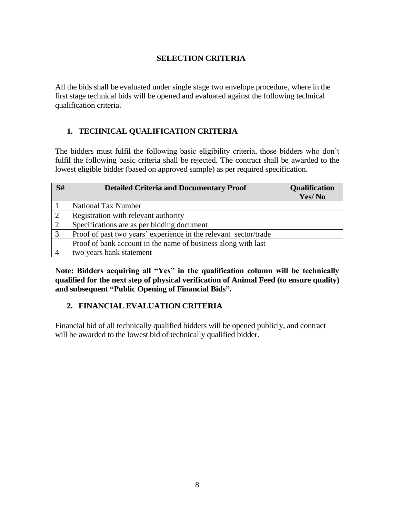## **SELECTION CRITERIA**

<span id="page-7-0"></span>All the bids shall be evaluated under single stage two envelope procedure, where in the first stage technical bids will be opened and evaluated against the following technical qualification criteria.

## <span id="page-7-1"></span>**1. TECHNICAL QUALIFICATION CRITERIA**

The bidders must fulfil the following basic eligibility criteria, those bidders who don't fulfil the following basic criteria shall be rejected. The contract shall be awarded to the lowest eligible bidder (based on approved sample) as per required specification.

| S#             | <b>Detailed Criteria and Documentary Proof</b>                   | <b>Qualification</b><br>Yes/No |
|----------------|------------------------------------------------------------------|--------------------------------|
|                | <b>National Tax Number</b>                                       |                                |
| $\overline{2}$ | Registration with relevant authority                             |                                |
| 2              | Specifications are as per bidding document                       |                                |
| 3              | Proof of past two years' experience in the relevant sector/trade |                                |
|                | Proof of bank account in the name of business along with last    |                                |
|                | two years bank statement                                         |                                |

**Note: Bidders acquiring all "Yes" in the qualification column will be technically qualified for the next step of physical verification of Animal Feed (to ensure quality) and subsequent "Public Opening of Financial Bids".** 

## <span id="page-7-2"></span>**2. FINANCIAL EVALUATION CRITERIA**

Financial bid of all technically qualified bidders will be opened publicly, and contract will be awarded to the lowest bid of technically qualified bidder.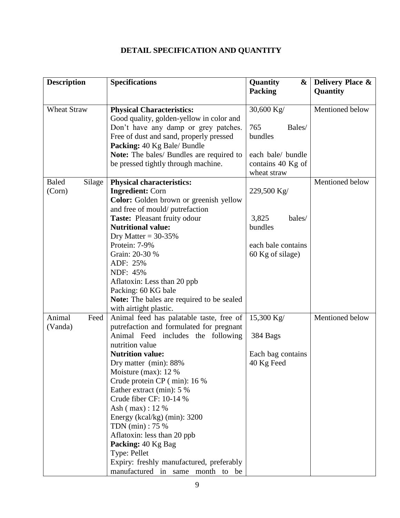# **DETAIL SPECIFICATION AND QUANTITY**

<span id="page-8-0"></span>

| <b>Description</b><br><b>Specifications</b> |                                                           | Quantity<br>&      | <b>Delivery Place &amp;</b> |
|---------------------------------------------|-----------------------------------------------------------|--------------------|-----------------------------|
|                                             |                                                           | <b>Packing</b>     | Quantity                    |
|                                             |                                                           |                    |                             |
| <b>Wheat Straw</b>                          | <b>Physical Characteristics:</b>                          | 30,600 Kg/         | Mentioned below             |
|                                             | Good quality, golden-yellow in color and                  |                    |                             |
|                                             | Don't have any damp or grey patches.                      | 765<br>Bales/      |                             |
|                                             | Free of dust and sand, properly pressed                   | bundles            |                             |
|                                             | Packing: 40 Kg Bale/ Bundle                               |                    |                             |
|                                             | Note: The bales/ Bundles are required to                  | each bale/ bundle  |                             |
|                                             | be pressed tightly through machine.                       | contains 40 Kg of  |                             |
|                                             |                                                           | wheat straw        | Mentioned below             |
| <b>Baled</b><br>Silage                      | <b>Physical characteristics:</b>                          |                    |                             |
| (Corn)                                      | <b>Ingredient: Corn</b>                                   | 229,500 Kg/        |                             |
|                                             | Color: Golden brown or greenish yellow                    |                    |                             |
|                                             | and free of mould/putrefaction                            | 3,825<br>bales/    |                             |
|                                             | Taste: Pleasant fruity odour<br><b>Nutritional value:</b> | bundles            |                             |
|                                             | Dry Matter = $30-35%$                                     |                    |                             |
|                                             | Protein: 7-9%                                             | each bale contains |                             |
|                                             | Grain: 20-30 %                                            | 60 Kg of silage)   |                             |
|                                             | ADF: 25%                                                  |                    |                             |
|                                             | NDF: 45%                                                  |                    |                             |
|                                             | Aflatoxin: Less than 20 ppb                               |                    |                             |
|                                             | Packing: 60 KG bale                                       |                    |                             |
|                                             | <b>Note:</b> The bales are required to be sealed          |                    |                             |
|                                             | with airtight plastic.                                    |                    |                             |
| Animal<br>Feed                              | Animal feed has palatable taste, free of                  | 15,300 Kg/         | Mentioned below             |
| (Vanda)                                     | putrefaction and formulated for pregnant                  |                    |                             |
|                                             | Animal Feed includes the following                        | 384 Bags           |                             |
|                                             | nutrition value                                           |                    |                             |
|                                             | <b>Nutrition value:</b>                                   | Each bag contains  |                             |
|                                             | Dry matter (min): 88%                                     | 40 Kg Feed         |                             |
|                                             | Moisture (max): $12\%$                                    |                    |                             |
|                                             | Crude protein CP (min): 16 %                              |                    |                             |
|                                             | Eather extract (min): 5 %                                 |                    |                             |
|                                             | Crude fiber CF: 10-14 %                                   |                    |                             |
|                                             | Ash $(max)$ : 12 %                                        |                    |                             |
|                                             | Energy (kcal/kg) (min): $3200$                            |                    |                             |
|                                             | TDN (min) : 75 %                                          |                    |                             |
|                                             | Aflatoxin: less than 20 ppb                               |                    |                             |
|                                             | Packing: 40 Kg Bag                                        |                    |                             |
|                                             | Type: Pellet                                              |                    |                             |
|                                             | Expiry: freshly manufactured, preferably                  |                    |                             |
|                                             | manufactured in same month to be                          |                    |                             |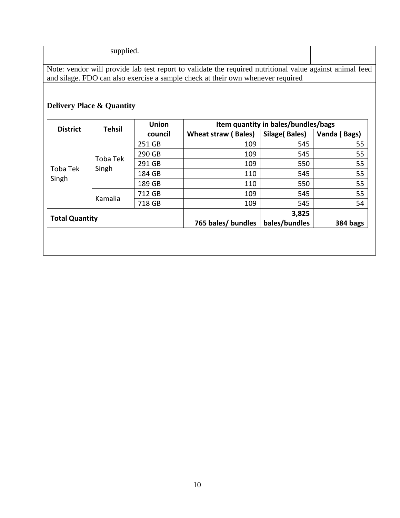|                                                                                                                                                                                             | supplied. |  |  |  |  |
|---------------------------------------------------------------------------------------------------------------------------------------------------------------------------------------------|-----------|--|--|--|--|
| Note: vendor will provide lab test report to validate the required nutritional value against animal feed<br>and silage. FDO can also exercise a sample check at their own whenever required |           |  |  |  |  |

# **Delivery Place & Quantity**

| <b>District</b>       |                   | <b>Union</b>       | Item quantity in bales/bundles/bags |               |              |  |
|-----------------------|-------------------|--------------------|-------------------------------------|---------------|--------------|--|
|                       | <b>Tehsil</b>     | council            | <b>Wheat straw (Bales)</b>          | Silage(Bales) | Vanda (Bags) |  |
|                       | Toba Tek<br>Singh | 251 GB             | 109                                 | 545           | 55           |  |
|                       |                   | 290 GB             | 109                                 | 545           | 55           |  |
| Toba Tek              |                   | 291 GB             | 109                                 | 550           | 55           |  |
| Singh                 |                   | 184 GB             | 110                                 | 545           | 55           |  |
|                       |                   | 189 GB             | 110                                 | 550           | 55           |  |
|                       | Kamalia           | 712 GB             | 109                                 | 545           | 55           |  |
|                       |                   | 718 GB             | 109                                 | 545           | 54           |  |
| <b>Total Quantity</b> |                   |                    | 3,825                               |               |              |  |
|                       |                   | 765 bales/ bundles | bales/bundles                       | 384 bags      |              |  |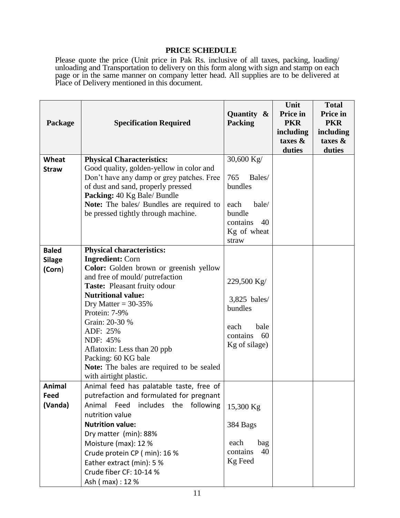## **PRICE SCHEDULE**

<span id="page-10-0"></span>Please quote the price (Unit price in Pak Rs. inclusive of all taxes, packing, loading/ unloading and Transportation to delivery on this form along with sign and stamp on each page or in the same manner on company letter head. All supplies are to be delivered at Place of Delivery mentioned in this document.

| Package                                 | <b>Specification Required</b>                                                                                                                                                                                                                                                                                                             | Quantity &<br><b>Packing</b>                                                              | Unit<br>Price in<br><b>PKR</b><br>including<br>taxes $\&$<br>duties | <b>Total</b><br>Price in<br><b>PKR</b><br>including<br>taxes $\&$<br>duties |
|-----------------------------------------|-------------------------------------------------------------------------------------------------------------------------------------------------------------------------------------------------------------------------------------------------------------------------------------------------------------------------------------------|-------------------------------------------------------------------------------------------|---------------------------------------------------------------------|-----------------------------------------------------------------------------|
| <b>Wheat</b><br><b>Straw</b>            | <b>Physical Characteristics:</b><br>Good quality, golden-yellow in color and<br>Don't have any damp or grey patches. Free<br>of dust and sand, properly pressed                                                                                                                                                                           | 30,600 Kg/<br>765<br>Bales/<br>bundles                                                    |                                                                     |                                                                             |
|                                         | Packing: 40 Kg Bale/ Bundle<br><b>Note:</b> The bales/ Bundles are required to<br>be pressed tightly through machine.                                                                                                                                                                                                                     | bale/<br>each<br>bundle<br>contains<br>40<br>Kg of wheat<br>straw                         |                                                                     |                                                                             |
| <b>Baled</b><br><b>Silage</b><br>(Corn) | <b>Physical characteristics:</b><br><b>Ingredient: Corn</b><br><b>Color:</b> Golden brown or greenish yellow<br>and free of mould/putrefaction<br>Taste: Pleasant fruity odour<br><b>Nutritional value:</b><br>Dry Matter = $30-35%$<br>Protein: 7-9%<br>Grain: 20-30 %<br>ADF: 25%<br>NDF: 45%<br>Aflatoxin: Less than 20 ppb            | 229,500 Kg/<br>3,825 bales/<br>bundles<br>each<br>bale<br>60<br>contains<br>Kg of silage) |                                                                     |                                                                             |
|                                         | Packing: 60 KG bale<br>Note: The bales are required to be sealed<br>with airtight plastic.                                                                                                                                                                                                                                                |                                                                                           |                                                                     |                                                                             |
| Animal<br>Feed<br>(Vanda)               | Animal feed has palatable taste, free of<br>putrefaction and formulated for pregnant<br>Animal Feed<br>includes the following<br>nutrition value<br><b>Nutrition value:</b><br>Dry matter (min): 88%<br>Moisture (max): 12 %<br>Crude protein CP (min): 16 %<br>Eather extract (min): 5 %<br>Crude fiber CF: 10-14 %<br>Ash ( max) : 12 % | 15,300 Kg<br>384 Bags<br>each<br>bag<br>40<br>contains<br>Kg Feed                         |                                                                     |                                                                             |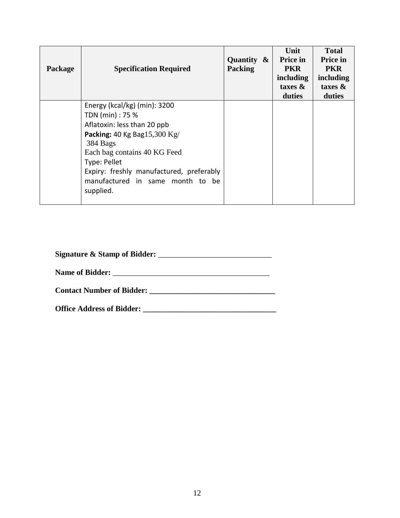| Package | <b>Specification Required</b>                                                                                                                                                                                                                                                | Quantity $\&$<br><b>Packing</b> | Unit<br>Price in<br><b>PKR</b><br>including<br>taxes $\&$<br>duties | <b>Total</b><br><b>Price in</b><br><b>PKR</b><br>including<br>taxes $\&$<br>duties |
|---------|------------------------------------------------------------------------------------------------------------------------------------------------------------------------------------------------------------------------------------------------------------------------------|---------------------------------|---------------------------------------------------------------------|------------------------------------------------------------------------------------|
|         | Energy ( $kcal/kg$ ) (min): 3200<br>TDN (min) : 75 %<br>Aflatoxin: less than 20 ppb<br>Packing: 40 Kg Bag15,300 Kg/<br>384 Bags<br>Each bag contains 40 KG Feed<br>Type: Pellet<br>Expiry: freshly manufactured, preferably<br>manufactured in same month to be<br>supplied. |                                 |                                                                     |                                                                                    |

| <b>Contact Number of Bidder:</b> |  |
|----------------------------------|--|
|                                  |  |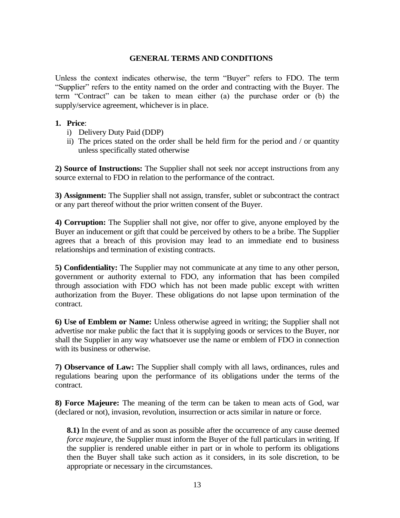## **GENERAL TERMS AND CONDITIONS**

<span id="page-12-0"></span>Unless the context indicates otherwise, the term "Buyer" refers to FDO. The term "Supplier" refers to the entity named on the order and contracting with the Buyer. The term "Contract" can be taken to mean either (a) the purchase order or (b) the supply/service agreement, whichever is in place.

#### **1. Price**:

- i) Delivery Duty Paid (DDP)
- ii) The prices stated on the order shall be held firm for the period and / or quantity unless specifically stated otherwise

**2) Source of Instructions:** The Supplier shall not seek nor accept instructions from any source external to FDO in relation to the performance of the contract.

**3) Assignment:** The Supplier shall not assign, transfer, sublet or subcontract the contract or any part thereof without the prior written consent of the Buyer.

**4) Corruption:** The Supplier shall not give, nor offer to give, anyone employed by the Buyer an inducement or gift that could be perceived by others to be a bribe. The Supplier agrees that a breach of this provision may lead to an immediate end to business relationships and termination of existing contracts.

**5) Confidentiality:** The Supplier may not communicate at any time to any other person, government or authority external to FDO, any information that has been compiled through association with FDO which has not been made public except with written authorization from the Buyer. These obligations do not lapse upon termination of the contract.

**6) Use of Emblem or Name:** Unless otherwise agreed in writing; the Supplier shall not advertise nor make public the fact that it is supplying goods or services to the Buyer, nor shall the Supplier in any way whatsoever use the name or emblem of FDO in connection with its business or otherwise.

**7) Observance of Law:** The Supplier shall comply with all laws, ordinances, rules and regulations bearing upon the performance of its obligations under the terms of the contract.

**8) Force Majeure:** The meaning of the term can be taken to mean acts of God, war (declared or not), invasion, revolution, insurrection or acts similar in nature or force.

**8.1**) In the event of and as soon as possible after the occurrence of any cause deemed *force majeure,* the Supplier must inform the Buyer of the full particulars in writing. If the supplier is rendered unable either in part or in whole to perform its obligations then the Buyer shall take such action as it considers, in its sole discretion, to be appropriate or necessary in the circumstances.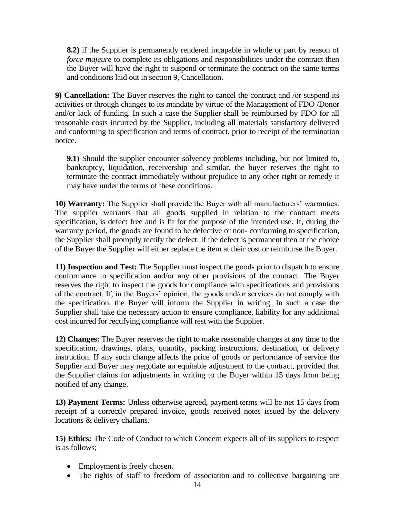**8.2)** if the Supplier is permanently rendered incapable in whole or part by reason of *force majeure* to complete its obligations and responsibilities under the contract then the Buyer will have the right to suspend or terminate the contract on the same terms and conditions laid out in section 9, Cancellation.

**9) Cancellation:** The Buyer reserves the right to cancel the contract and /or suspend its activities or through changes to its mandate by virtue of the Management of FDO /Donor and/or lack of funding. In such a case the Supplier shall be reimbursed by FDO for all reasonable costs incurred by the Supplier, including all materials satisfactory delivered and conforming to specification and terms of contract, prior to receipt of the termination notice.

**9.1)** Should the supplier encounter solvency problems including, but not limited to, bankruptcy, liquidation, receivership and similar, the buyer reserves the right to terminate the contract immediately without prejudice to any other right or remedy it may have under the terms of these conditions.

**10) Warranty:** The Supplier shall provide the Buyer with all manufacturers' warranties. The supplier warrants that all goods supplied in relation to the contract meets specification, is defect free and is fit for the purpose of the intended use. If, during the warranty period, the goods are found to be defective or non- conforming to specification, the Supplier shall promptly rectify the defect. If the defect is permanent then at the choice of the Buyer the Supplier will either replace the item at their cost or reimburse the Buyer.

**11) Inspection and Test:** The Supplier must inspect the goods prior to dispatch to ensure conformance to specification and/or any other provisions of the contract. The Buyer reserves the right to inspect the goods for compliance with specifications and provisions of the contract. If, in the Buyers' opinion, the goods and/or services do not comply with the specification, the Buyer will inform the Supplier in writing. In such a case the Supplier shall take the necessary action to ensure compliance, liability for any additional cost incurred for rectifying compliance will rest with the Supplier.

**12) Changes:** The Buyer reserves the right to make reasonable changes at any time to the specification, drawings, plans, quantity, packing instructions, destination, or delivery instruction. If any such change affects the price of goods or performance of service the Supplier and Buyer may negotiate an equitable adjustment to the contract, provided that the Supplier claims for adjustments in writing to the Buyer within 15 days from being notified of any change.

**13) Payment Terms:** Unless otherwise agreed, payment terms will be net 15 days from receipt of a correctly prepared invoice, goods received notes issued by the delivery locations & delivery challans.

**15) Ethics:** The Code of Conduct to which Concern expects all of its suppliers to respect is as follows;

- Employment is freely chosen.
- The rights of staff to freedom of association and to collective bargaining are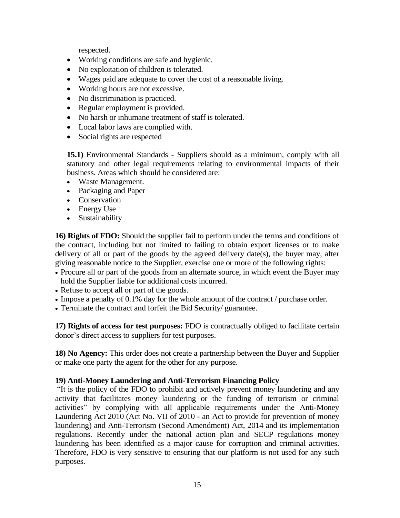respected.

- Working conditions are safe and hygienic.
- No exploitation of children is tolerated.
- Wages paid are adequate to cover the cost of a reasonable living.
- Working hours are not excessive.
- No discrimination is practiced.
- Regular employment is provided.
- No harsh or inhumane treatment of staff is tolerated.
- Local labor laws are complied with.
- Social rights are respected

**15.1)** Environmental Standards - Suppliers should as a minimum, comply with all statutory and other legal requirements relating to environmental impacts of their business. Areas which should be considered are:

- Waste Management.
- Packaging and Paper
- Conservation
- Energy Use
- Sustainability

**16) Rights of FDO:** Should the supplier fail to perform under the terms and conditions of the contract, including but not limited to failing to obtain export licenses or to make delivery of all or part of the goods by the agreed delivery date(s), the buyer may, after giving reasonable notice to the Supplier, exercise one or more of the following rights:

- Procure all or part of the goods from an alternate source, in which event the Buyer may hold the Supplier liable for additional costs incurred.
- Refuse to accept all or part of the goods.
- Impose a penalty of 0.1% day for the whole amount of the contract / purchase order.
- Terminate the contract and forfeit the Bid Security/ guarantee.

**17) Rights of access for test purposes:** FDO is contractually obliged to facilitate certain donor's direct access to suppliers for test purposes.

**18) No Agency:** This order does not create a partnership between the Buyer and Supplier or make one party the agent for the other for any purpose.

## **19) Anti-Money Laundering and Anti-Terrorism Financing Policy**

"It is the policy of the FDO to prohibit and actively prevent money laundering and any activity that facilitates money laundering or the funding of terrorism or criminal activities" by complying with all applicable requirements under the Anti-Money Laundering Act 2010 (Act No. VII of 2010 - an Act to provide for prevention of money laundering) and Anti-Terrorism (Second Amendment) Act, 2014 and its implementation regulations. Recently under the national action plan and SECP regulations money laundering has been identified as a major cause for corruption and criminal activities. Therefore, FDO is very sensitive to ensuring that our platform is not used for any such purposes.